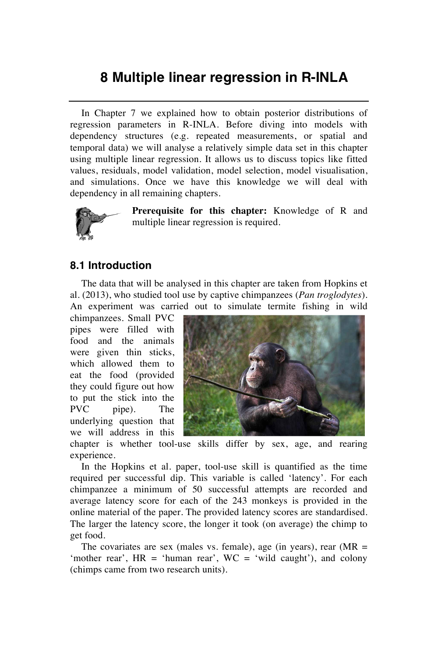## **8 Multiple linear regression in R-INLA**

In Chapter 7 we explained how to obtain posterior distributions of regression parameters in R-INLA. Before diving into models with dependency structures (e.g. repeated measurements, or spatial and temporal data) we will analyse a relatively simple data set in this chapter using multiple linear regression. It allows us to discuss topics like fitted values, residuals, model validation, model selection, model visualisation, and simulations. Once we have this knowledge we will deal with dependency in all remaining chapters.



**Prerequisite for this chapter:** Knowledge of R and multiple linear regression is required.

## **8.1 Introduction**

The data that will be analysed in this chapter are taken from Hopkins et al. (2013), who studied tool use by captive chimpanzees (*Pan troglodytes*). An experiment was carried out to simulate termite fishing in wild

chimpanzees. Small PVC pipes were filled with food and the animals were given thin sticks, which allowed them to eat the food (provided they could figure out how to put the stick into the PVC pipe). The underlying question that we will address in this



chapter is whether tool-use skills differ by sex, age, and rearing experience.

In the Hopkins et al. paper, tool-use skill is quantified as the time required per successful dip. This variable is called 'latency'. For each chimpanzee a minimum of 50 successful attempts are recorded and average latency score for each of the 243 monkeys is provided in the online material of the paper. The provided latency scores are standardised. The larger the latency score, the longer it took (on average) the chimp to get food.

The covariates are sex (males vs. female), age (in years), rear  $(MR =$ 'mother rear', HR = 'human rear', WC = 'wild caught'), and colony (chimps came from two research units).